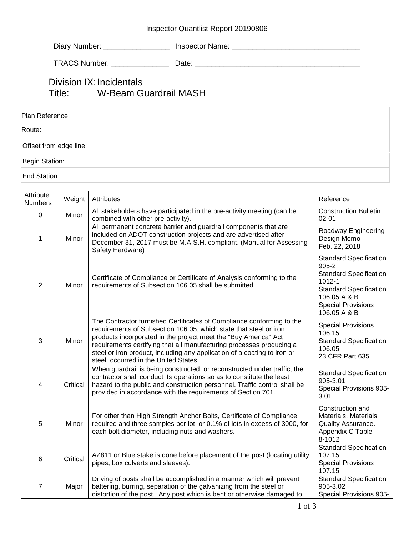## Inspector Quantlist Report 20190806

| Diary Number:<br><b>Inspector Name:</b> |
|-----------------------------------------|
|-----------------------------------------|

TRACS Number: \_\_\_\_\_\_\_\_\_\_\_\_\_\_ Date: \_\_\_\_\_\_\_\_\_\_\_\_\_\_\_\_\_\_\_\_\_\_\_\_\_\_\_\_\_\_\_\_\_\_\_\_\_\_\_\_

## Division IX: Incidentals Title: W-Beam Guardrail MASH

| Plan Reference:        |  |
|------------------------|--|
| Route:                 |  |
| Offset from edge line: |  |
| Begin Station:         |  |
| <b>End Station</b>     |  |

| Attribute<br><b>Numbers</b> | Weight   | Attributes                                                                                                                                                                                                                                                                                                                                                                                                 | Reference                                                                                                                                                                               |
|-----------------------------|----------|------------------------------------------------------------------------------------------------------------------------------------------------------------------------------------------------------------------------------------------------------------------------------------------------------------------------------------------------------------------------------------------------------------|-----------------------------------------------------------------------------------------------------------------------------------------------------------------------------------------|
| $\pmb{0}$                   | Minor    | All stakeholders have participated in the pre-activity meeting (can be<br>combined with other pre-activity).                                                                                                                                                                                                                                                                                               | <b>Construction Bulletin</b><br>$02 - 01$                                                                                                                                               |
| 1                           | Minor    | All permanent concrete barrier and guardrail components that are<br>included on ADOT construction projects and are advertised after<br>December 31, 2017 must be M.A.S.H. compliant. (Manual for Assessing<br>Safety Hardware)                                                                                                                                                                             | Roadway Engineering<br>Design Memo<br>Feb. 22, 2018                                                                                                                                     |
| $\overline{2}$              | Minor    | Certificate of Compliance or Certificate of Analysis conforming to the<br>requirements of Subsection 106.05 shall be submitted.                                                                                                                                                                                                                                                                            | <b>Standard Specification</b><br>$905 - 2$<br><b>Standard Specification</b><br>$1012 - 1$<br><b>Standard Specification</b><br>106.05 A & B<br><b>Special Provisions</b><br>106.05 A & B |
| $\mathbf{3}$                | Minor    | The Contractor furnished Certificates of Compliance conforming to the<br>requirements of Subsection 106.05, which state that steel or iron<br>products incorporated in the project meet the "Buy America" Act<br>requirements certifying that all manufacturing processes producing a<br>steel or iron product, including any application of a coating to iron or<br>steel, occurred in the United States. | <b>Special Provisions</b><br>106.15<br><b>Standard Specification</b><br>106.05<br>23 CFR Part 635                                                                                       |
| 4                           | Critical | When guardrail is being constructed, or reconstructed under traffic, the<br>contractor shall conduct its operations so as to constitute the least<br>hazard to the public and construction personnel. Traffic control shall be<br>provided in accordance with the requirements of Section 701.                                                                                                             | <b>Standard Specification</b><br>905-3.01<br>Special Provisions 905-<br>3.01                                                                                                            |
| 5                           | Minor    | For other than High Strength Anchor Bolts, Certificate of Compliance<br>required and three samples per lot, or 0.1% of lots in excess of 3000, for<br>each bolt diameter, including nuts and washers.                                                                                                                                                                                                      | Construction and<br>Materials, Materials<br>Quality Assurance.<br>Appendix C Table<br>8-1012                                                                                            |
| 6                           | Critical | AZ811 or Blue stake is done before placement of the post (locating utility,<br>pipes, box culverts and sleeves).                                                                                                                                                                                                                                                                                           | <b>Standard Specification</b><br>107.15<br><b>Special Provisions</b><br>107.15                                                                                                          |
| $\overline{7}$              | Major    | Driving of posts shall be accomplished in a manner which will prevent<br>battering, burring, separation of the galvanizing from the steel or<br>distortion of the post. Any post which is bent or otherwise damaged to                                                                                                                                                                                     | <b>Standard Specification</b><br>905-3.02<br>Special Provisions 905-                                                                                                                    |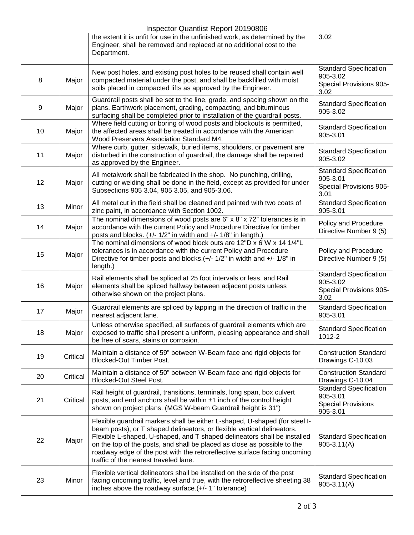## Inspector Quantlist Report 20190806

|    |          | <b>IIISPECIOL QUAHIIISI NEPULL ZU POOOO</b>                                                                                                                                                                                                                                                                                                                                                                                          |                                                                                    |
|----|----------|--------------------------------------------------------------------------------------------------------------------------------------------------------------------------------------------------------------------------------------------------------------------------------------------------------------------------------------------------------------------------------------------------------------------------------------|------------------------------------------------------------------------------------|
|    |          | the extent it is unfit for use in the unfinished work, as determined by the<br>Engineer, shall be removed and replaced at no additional cost to the<br>Department.                                                                                                                                                                                                                                                                   | 3.02                                                                               |
| 8  | Major    | New post holes, and existing post holes to be reused shall contain well<br>compacted material under the post, and shall be backfilled with moist<br>soils placed in compacted lifts as approved by the Engineer.                                                                                                                                                                                                                     | <b>Standard Specification</b><br>905-3.02<br>Special Provisions 905-<br>3.02       |
| 9  | Major    | Guardrail posts shall be set to the line, grade, and spacing shown on the<br>plans. Earthwork placement, grading, compacting, and bituminous<br>surfacing shall be completed prior to installation of the guardrail posts.                                                                                                                                                                                                           | <b>Standard Specification</b><br>905-3.02                                          |
| 10 | Major    | Where field cutting or boring of wood posts and blockouts is permitted,<br>the affected areas shall be treated in accordance with the American<br>Wood Preservers Association Standard M4.                                                                                                                                                                                                                                           | <b>Standard Specification</b><br>905-3.01                                          |
| 11 | Major    | Where curb, gutter, sidewalk, buried items, shoulders, or pavement are<br>disturbed in the construction of guardrail, the damage shall be repaired<br>as approved by the Engineer.                                                                                                                                                                                                                                                   | <b>Standard Specification</b><br>905-3.02                                          |
| 12 | Major    | All metalwork shall be fabricated in the shop. No punching, drilling,<br>cutting or welding shall be done in the field, except as provided for under<br>Subsections 905 3.04, 905 3.05, and 905-3.06.                                                                                                                                                                                                                                | <b>Standard Specification</b><br>905-3.01<br>Special Provisions 905-<br>3.01       |
| 13 | Minor    | All metal cut in the field shall be cleaned and painted with two coats of<br>zinc paint, in accordance with Section 1002.                                                                                                                                                                                                                                                                                                            | <b>Standard Specification</b><br>905-3.01                                          |
| 14 | Major    | The nominal dimensions of wood posts are $6" \times 8" \times 72"$ tolerances is in<br>accordance with the current Policy and Procedure Directive for timber<br>posts and blocks. (+/- 1/2" in width and +/- 1/8" in length.)                                                                                                                                                                                                        | Policy and Procedure<br>Directive Number 9 (5)                                     |
| 15 | Major    | The nominal dimensions of wood block outs are 12"D x 6"W x 14 1/4"L<br>tolerances is in accordance with the current Policy and Procedure<br>Directive for timber posts and blocks. $(+/- 1/2"$ in width and $+/- 1/8"$ in<br>length.)                                                                                                                                                                                                | Policy and Procedure<br>Directive Number 9 (5)                                     |
| 16 | Major    | Rail elements shall be spliced at 25 foot intervals or less, and Rail<br>elements shall be spliced halfway between adjacent posts unless<br>otherwise shown on the project plans.                                                                                                                                                                                                                                                    | <b>Standard Specification</b><br>905-3.02<br>Special Provisions 905-<br>3.02       |
| 17 | Major    | Guardrail elements are spliced by lapping in the direction of traffic in the<br>nearest adjacent lane.                                                                                                                                                                                                                                                                                                                               | <b>Standard Specification</b><br>905-3.01                                          |
| 18 | Major    | Unless otherwise specified, all surfaces of guardrail elements which are<br>exposed to traffic shall present a uniform, pleasing appearance and shall<br>be free of scars, stains or corrosion.                                                                                                                                                                                                                                      | <b>Standard Specification</b><br>1012-2                                            |
| 19 | Critical | Maintain a distance of 59" between W-Beam face and rigid objects for<br><b>Blocked-Out Timber Post.</b>                                                                                                                                                                                                                                                                                                                              | <b>Construction Standard</b><br>Drawings C-10.03                                   |
| 20 | Critical | Maintain a distance of 50" between W-Beam face and rigid objects for<br><b>Blocked-Out Steel Post.</b>                                                                                                                                                                                                                                                                                                                               | <b>Construction Standard</b><br>Drawings C-10.04                                   |
| 21 | Critical | Rail height of guardrail, transitions, terminals, long span, box culvert<br>posts, and end anchors shall be within ±1 inch of the control height<br>shown on project plans. (MGS W-beam Guardrail height is 31")                                                                                                                                                                                                                     | <b>Standard Specification</b><br>905-3.01<br><b>Special Provisions</b><br>905-3.01 |
| 22 | Major    | Flexible guardrail markers shall be either L-shaped, U-shaped (for steel I-<br>beam posts), or T shaped delineators, or flexible vertical delineators.<br>Flexible L-shaped, U-shaped, and T shaped delineators shall be installed<br>on the top of the posts, and shall be placed as close as possible to the<br>roadway edge of the post with the retroreflective surface facing oncoming<br>traffic of the nearest traveled lane. | <b>Standard Specification</b><br>$905 - 3.11(A)$                                   |
| 23 | Minor    | Flexible vertical delineators shall be installed on the side of the post<br>facing oncoming traffic, level and true, with the retroreflective sheeting 38<br>inches above the roadway surface.(+/- 1" tolerance)                                                                                                                                                                                                                     | <b>Standard Specification</b><br>$905 - 3.11(A)$                                   |